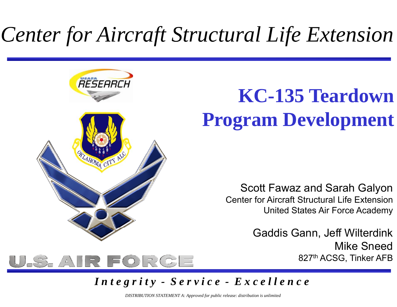# Center for Aircraft Structural Life Extension



U.S. AIR FORGE

## **KC-135 Teardown Program Development**

Scott Fawaz and Sarah Galyon Center for Aircraft Structural Life ExtensionUnited States Air Force Academy

> Gaddis Gann, Jeff Wilterdink Mike Sneed827th ACSG, Tinker AFB



*DISTRIBUTION STATEMENT A: Approved for public release: distribution is unlimited*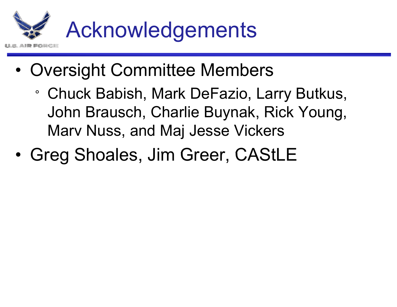

- • Oversight Committee Members
	- ° Chuck Babish, Mark DeFazio, Larry Butkus, John Brausch, Charlie Buynak, Rick Young, Marv Nuss, and Maj Jesse Vickers
- •• Greg Shoales, Jim Greer, CAStLE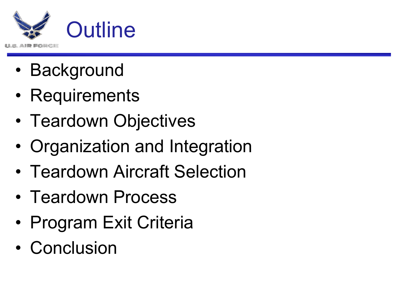

- •Background
- •**Requirements**
- •• Teardown Objectives
- •Organization and Integration
- •Teardown Aircraft Selection
- •• Teardown Process
- •• Program Exit Criteria
- •Conclusion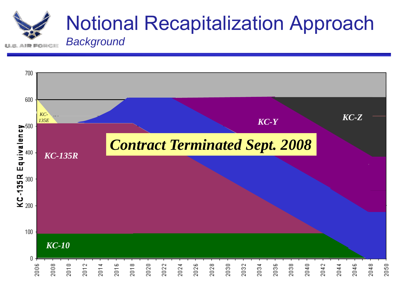

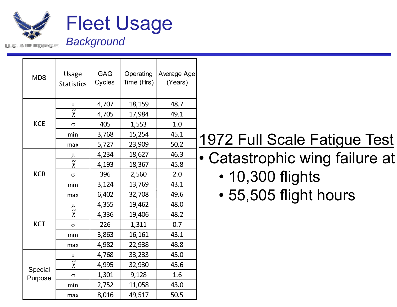

Г

|  | <b>MDS</b>         | <b>Usage</b><br><b>Statistics</b> | <b>GAG</b><br>Cycles | Operating<br>Time (Hrs) | Average Age<br>(Years) |                     |
|--|--------------------|-----------------------------------|----------------------|-------------------------|------------------------|---------------------|
|  |                    | $\mu$                             | 4,707                | 18,159                  | 48.7                   |                     |
|  |                    | $\overline{\widetilde{x}}$        | 4,705                | 17,984                  | 49.1                   |                     |
|  | <b>KCE</b>         | $\sigma$                          | 405                  | 1,553                   | 1.0                    |                     |
|  |                    | min                               | 3,768                | 15,254                  | 45.1                   | 1972 Full Scale Fa  |
|  |                    | max                               | 5,727                | 23,909                  | 50.2                   |                     |
|  |                    | $\mu$                             | 4,234                | 18,627                  | 46.3                   | • Catastrophic wing |
|  |                    | $\tilde{x}$                       | 4,193                | 18,367                  | 45.8                   |                     |
|  | <b>KCR</b>         | $\sigma$                          | 396                  | 2,560                   | 2.0                    | • 10,300 flights    |
|  |                    | min                               | 3,124                | 13,769                  | 43.1                   |                     |
|  |                    | max                               | 6,402                | 32,708                  | 49.6                   | • 55,505 flight h   |
|  | <b>KCT</b>         |                                   | 4,355                | 19,462                  | 48.0                   |                     |
|  |                    | $\frac{\mu}{\widetilde{x}}$       | 4,336                | 19,406                  | 48.2                   |                     |
|  |                    | $\sigma$                          | 226                  | 1,311                   | 0.7                    |                     |
|  |                    | min                               | 3,863                | 16,161                  | 43.1                   |                     |
|  |                    | max                               | 4,982                | 22,938                  | 48.8                   |                     |
|  | Special<br>Purpose | $\mu$                             | 4,768                | 33,233                  | 45.0                   |                     |
|  |                    | $\widetilde{\mathcal{X}}$         | 4,995                | 32,930                  | 45.6                   |                     |
|  |                    | $\sigma$                          | 1,301                | 9,128                   | 1.6                    |                     |
|  |                    | min                               | 2,752                | 11,058                  | 43.0                   |                     |
|  |                    | max                               | 8,016                | 49,517                  | 50.5                   |                     |

### 1972 Full Scale Fatigue Test

- $\frac{\mu}{\tilde{\chi}}$  4,234 18,627 46.3 Catastrophic wing failure at
	- 10,300 flights
	- 55,505 flight hours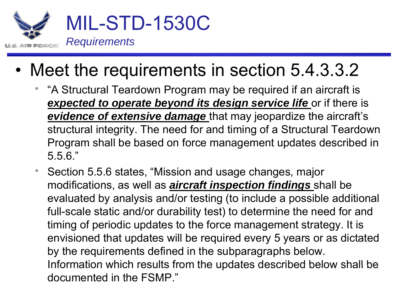

- • Meet the requirements in section 5.4.3.3.2
	- $\circ$  "A Structural Teardown Program may be required if an aircraft is **expected to operate beyond its design service life** or if there is *evidence of extensive damage* that may jeopardize the aircraft's structural integrity. The need for and timing of a Structural Teardown Program shall be based on force management updates described in 5.6."
	- $\circ$  Section 5.5.6 states, "Mission and usage changes, major modifications, as well as *aircraft inspection findings* shall be evaluated by analysis and/or testing (to include a possible additional full-scale static and/or durability test) to determine the need for and timing of periodic updates to the force management strategy. It is envisioned that updates will be required every 5 years or as dictated by the requirements defined in the subparagraphs below. Information which results from the updates described below shall be documented in the FSMP."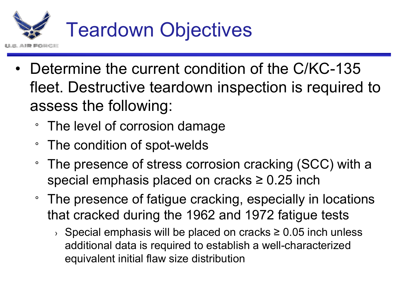

- • Determine the current condition of the C/KC-135 fleet. Destructive teardown inspection is required to assess the following:
	- ° The level of corrosion damage
	- ° The condition of spot-welds
	- $\circ$  The presence of stress corrosion cracking (SCC) with a special emphasis placed on cracks ≥ 0.25 inch
	- $\circ$  The presence of fatigue cracking, especially in locations that cracked during the 1962 and 1972 fatigue tests
		- › Special emphasis will be placed on cracks ≥ 0.05 inch unless additional data is required to establish a well-characterized equivalent initial flaw size distribution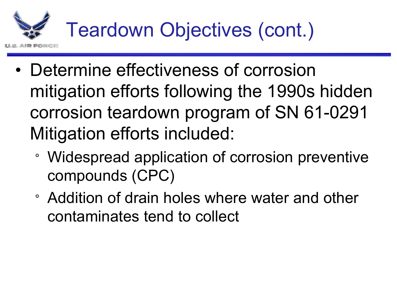

- • Determine effectiveness of corrosion mitigation efforts following the 1990s hidden corrosion teardown program of SN 61 -0291 Mitigation efforts included:
	- Widespread application of corrosion preventive compounds (CPC)
	- ° Addition of drain holes where water and other contaminates tend to collect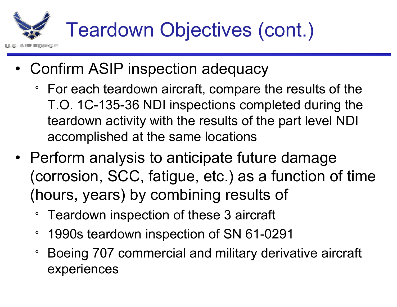- • Confirm ASIP inspection adequacy
	- ° For each teardown aircraft, compare the results of the T.O. 1C-135-36 NDI inspections completed during the teardown activity with the results of the part level NDI accomplished at the same locations
- Perform analysis to anticipate future damage (corrosion, SCC, fatigue, etc.) as a function of time (hours, years) by combining results of
	- $\circ$ Teardown inspection of these 3 aircraft
	- $\circ$ 1990s teardown inspection of SN 61-0291
	- $\circ$  Boeing 707 commercial and military derivative aircraft experiences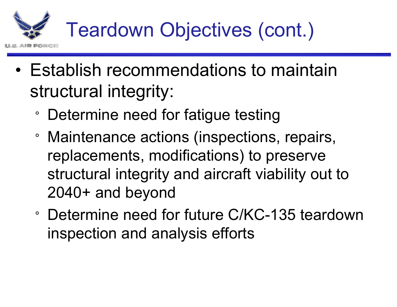- • Establish recommendations to maintain structural integrity:
	- ° Determine need for fatigue testing
	- ° Maintenance actions (inspections, repairs, replacements, modifications) to preserve structural integrity and aircraft viability out to 2040+ and beyond
	- ° Determine need for future C/KC-135 teardown inspection and analysis efforts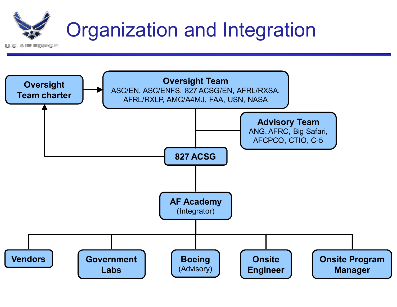

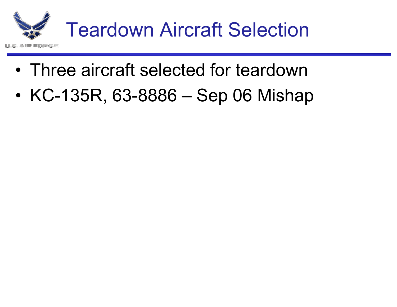

- •Three aircraft selected for teardown
- •KC-135R, 63-8886 – Sep 06 Mishap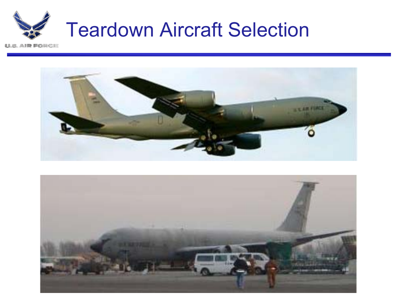



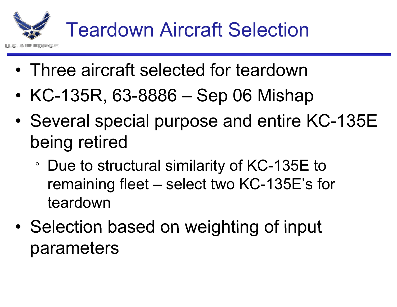

- •Three aircraft selected for teardown
- •KC-135R, 63-8886 – Sep 06 Mishap
- •• Several special purpose and entire KC-135E being retired
	- ° Due to structural similarity of KC-135E to remainin g fleet – select two KC-135E's for teardown
- •• Selection based on weighting of input parameters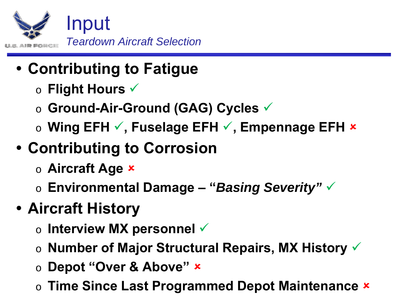

- **Contributing to Fatigue** 
	- o **Flight Hours** <sup>9</sup>
	- o **Ground-Air-Ground (GAG) Cycles** <sup>9</sup>
	- o **Wing EFH** 9**, Fuselage EFH** 9**, Empennage EFH** <sup>8</sup>
- y **Contributing to Corrosion**
	- o **Aircraft Age** <sup>8</sup>
	- $\circ$  <code>Environmental Damage "*Basing Severity"*  $\checkmark$ </code>
- y **Aircraft History**
	- $\circ$  Interview MX personnel  $\checkmark$
	- o **Number of Major Structural Repairs, MX History** <sup>9</sup>
	- o **Depot "Over & Above"** <sup>8</sup>
	- $\circ$  Time Since Last Programmed Depot Maintenance  $\star$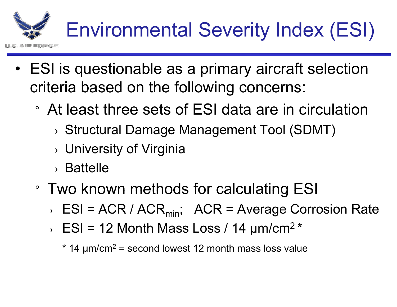- • ESI is questionable as a primary aircraft selection criteria based on the following concerns:
	- ° At least three sets of ESI data are in circulation
		- › Structural Damage Management Tool (SDMT)
		- $\rightarrow$  University of Virginia
		- › Battelle
	- $\,^{\circ}$  Two known methods for calculating ESI
		- › ESI = ACR / ACR<sub>min</sub>; ACR = Average Corrosion Rate
		- $\angle$  ESI = 12 Month Mass Loss / 14 μm/cm<sup>2 \*</sup>
			- $^{\star}$  14  $\mu$ m/cm $^2$  = second lowest 12 month mass loss value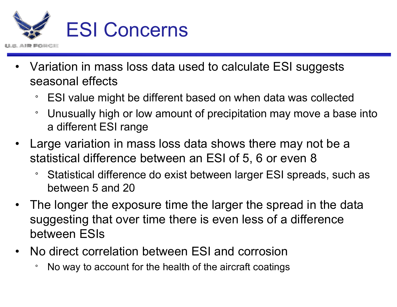

- • Variation in mass loss data used to calculate ESI suggests seasonal effects
	- $\,^\circ$  ESI value might be different based on when data was collected
	- $\circ$ Unusually high or low amount of precipitation may move a base into a different ESI range
- • Large variation in mass loss data shows there may not be a statistical difference between an ESI of 5, 6 or even 8
	- $\circ$  Statistical difference do exist between larger ESI spreads, such as between 5 and 20
- • The longer the exposure time the larger the spread in the data suggesting that over time there is even less of a difference between ESIs
- • No direct correlation between ESI and corrosion
	- °No way to account for the health of the aircraft coatings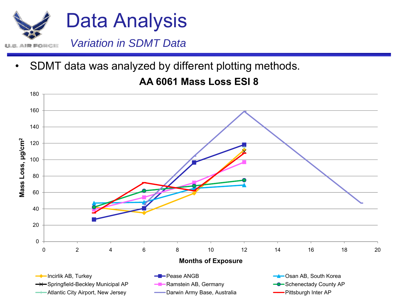

•SDMT data was analyzed by different plotting methods.

### **AA 6061 M L ESI 8 Mass Loss**

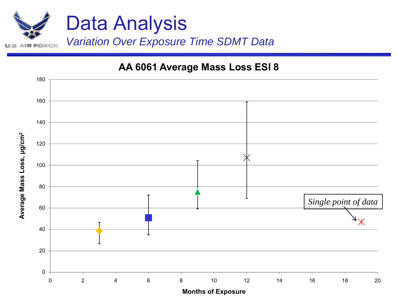

#### **AA 6061 Average Mass Loss ESI 8**



**Months of Exposure**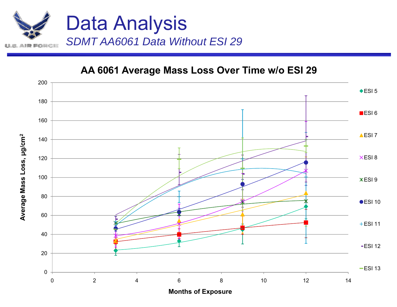

**μg/cm**

**Mass Loss,** 

**Σ** 

**Average**

#### **AA 6061 Average Mass Loss Over Time w/o ESI 29**



**Months of Exposure**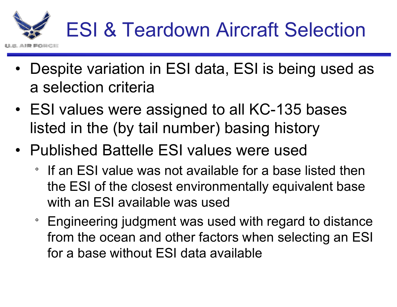

- • Despite variation in ESI data, ESI is being used as a selection criteria
- ESI values were assi gned to all KC-135 bases listed in the (by tail number) basing history
- Published Battelle ESI values were used
	- ° If an ESI value was not available for a base listed then the ESI of the closest environmentally equivalent base with an ESI available was used
	- $\degree$  Engineering judgment was used with regard to distance from the ocean and other factors when selecting an ESI for a base without ESI data available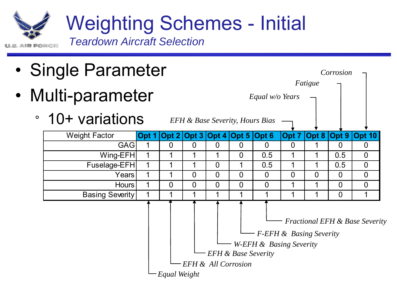

Weighting Schemes - Initial

*Teardown Aircraft Selection*

- •Sin gle Parameter *Corrosion*
- • Multi-parameter
	- 10+ variations



*EFH & Base Severity, Hours Bias*

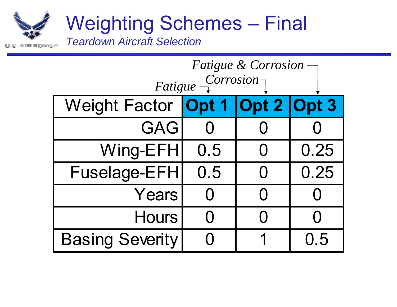# Weighting Schemes – Final

*Teardown Aircraft Selection*

| <b>Fatigue &amp; Corrosion</b>         |           |                |                    |  |  |  |  |
|----------------------------------------|-----------|----------------|--------------------|--|--|--|--|
| $Eatique -\frac{Corrosion-1}{1}$       |           |                |                    |  |  |  |  |
| Weight Factor <b>Opt 1 Opt 2 Opt 3</b> |           |                |                    |  |  |  |  |
| <b>GAG</b>                             |           |                |                    |  |  |  |  |
| Wing-EFH                               | 0.5       | $\bigcup$      | 0.25               |  |  |  |  |
| <b>Fuselage-EFH</b>                    | 0.5       | ( )            | 0.25               |  |  |  |  |
| Years                                  | $\bigcap$ | $\bigcap$      | $\left( \ \right)$ |  |  |  |  |
| <b>Hours</b>                           |           | $\blacksquare$ |                    |  |  |  |  |
| <b>Basing Severity</b>                 |           |                | 0.5                |  |  |  |  |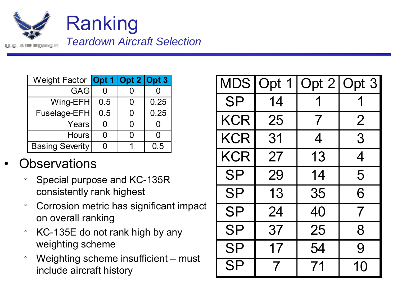

| Weight Factor <b>Opt 1 Opt 2 Opt 3</b> |     |      | <b>MDS</b> |
|----------------------------------------|-----|------|------------|
| <b>GAGI</b>                            |     |      |            |
| $Wing-EFH$                             | 0.5 | 0.25 | <b>SP</b>  |
| Fuselage-EFH                           | 0.5 | 0.25 |            |
| Years                                  |     |      | KCR        |
| <b>Hours</b>                           |     |      | KCR        |
| <b>Basing Severity</b>                 | 0   | 0.5  |            |
|                                        |     |      |            |

#### •**Observations**

- $\circ$  Special purpose and KC-135R consistently rank highest  $\begin{array}{c} \textsf{S}\textsf{P} \end{array}$
- $\circ$  Corrosion metric has significant impact on overall ranking
- °KC-135E do not rank high by any weighting scheme
- $\circ$  Weighting scheme insufficient – must include aircraft history

| It 1                              | Opt 2                            | Opt 3                  |  |            |                          | MDS   Opt 1   Opt 2   Opt 3 |                |
|-----------------------------------|----------------------------------|------------------------|--|------------|--------------------------|-----------------------------|----------------|
| $\overline{0}$<br>.5              | $\overline{0}$<br>$\overline{0}$ | $\overline{0}$<br>0.25 |  | <b>SP</b>  | 14                       |                             |                |
| $.5\,$                            | $\overline{0}$                   | 0.25                   |  |            |                          |                             |                |
| $\overline{0}$                    | $\overline{0}$                   | $\overline{0}$         |  | <b>KCR</b> | 25                       | 7                           | $\overline{2}$ |
| $\overline{0}$<br>$\overline{0}$  | $\overline{0}$<br>1              | $\overline{0}$<br>0.5  |  | <b>KCR</b> | 31                       | 4                           | 3              |
|                                   |                                  |                        |  | <b>KCR</b> | 27                       | 13                          | 4              |
| e and KC-135R                     |                                  |                        |  | <b>SP</b>  | 29                       | 14                          | 5              |
| <b>ik highest</b>                 |                                  |                        |  | <b>SP</b>  | 13                       | 35                          | 6              |
| ic has significant impact<br>ng   |                                  |                        |  | <b>SP</b>  | 24                       | 40                          |                |
| t rank high by any                |                                  |                        |  | <b>SP</b>  | 37                       | 25                          | 8              |
| me                                |                                  |                        |  | <b>SP</b>  | 17                       | 54                          | 9              |
| me insufficient - must<br>history |                                  |                        |  | <b>SP</b>  | $\overline{\mathcal{I}}$ | 71                          | 10             |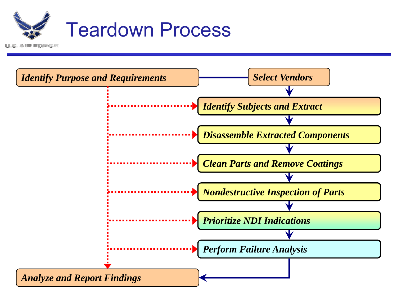

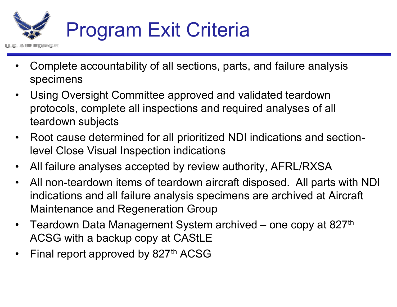

- • Complete accountability of all sections, parts, and failure analysis specimens
- • Using Oversight Committee approved and validated teardown protocols, complete all inspections and required analyses of all teardown subjects
- • Root cause determined for all prioritized NDI indications and sectionlevel Close Visual Inspection indications
- •All failure analyses accepted by review authority, AFRL/RXSA
- • All non-teardown items of teardown aircraft disposed. All parts with NDI indications and all failure analysis specimens are archived at Aircraft Maintenance and Regeneration Group
- • Teardown Data Management System archived –n Data Management System archived – one copy at 827<sup>th</sup> ACSG with a backup copy at CAStLE
- •Final report approved by 827<sup>th</sup> ACSG